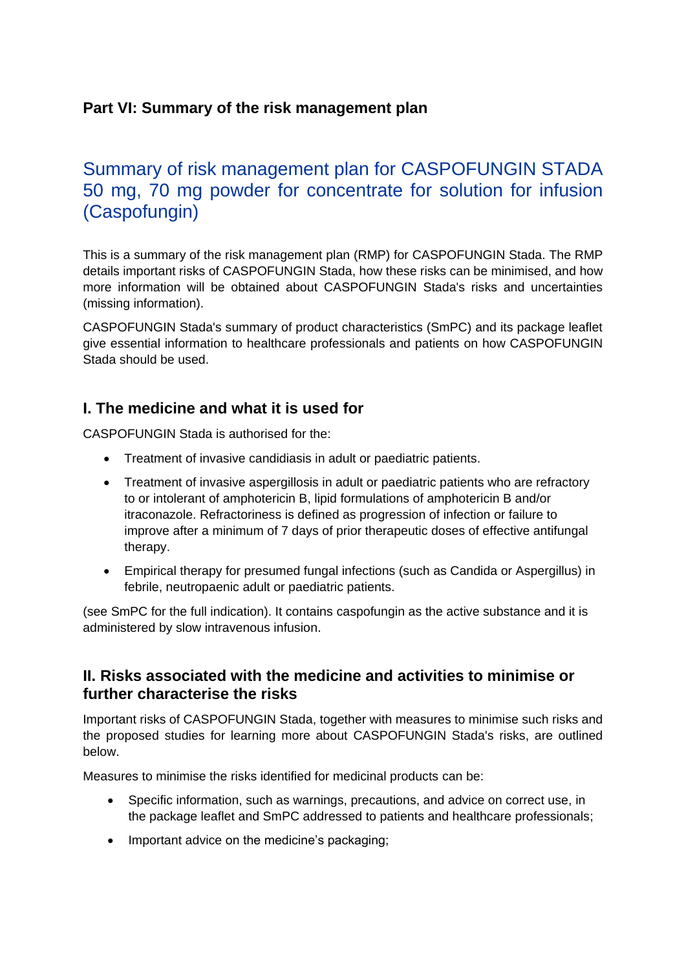## **Part VI: Summary of the risk management plan**

# Summary of risk management plan for CASPOFUNGIN STADA 50 mg, 70 mg powder for concentrate for solution for infusion (Caspofungin)

This is a summary of the risk management plan (RMP) for CASPOFUNGIN Stada. The RMP details important risks of CASPOFUNGIN Stada, how these risks can be minimised, and how more information will be obtained about CASPOFUNGIN Stada's risks and uncertainties (missing information).

CASPOFUNGIN Stada's summary of product characteristics (SmPC) and its package leaflet give essential information to healthcare professionals and patients on how CASPOFUNGIN Stada should be used.

### **I. The medicine and what it is used for**

CASPOFUNGIN Stada is authorised for the:

- Treatment of invasive candidiasis in adult or paediatric patients.
- Treatment of invasive aspergillosis in adult or paediatric patients who are refractory to or intolerant of amphotericin B, lipid formulations of amphotericin B and/or itraconazole. Refractoriness is defined as progression of infection or failure to improve after a minimum of 7 days of prior therapeutic doses of effective antifungal therapy.
- Empirical therapy for presumed fungal infections (such as Candida or Aspergillus) in febrile, neutropaenic adult or paediatric patients.

(see SmPC for the full indication). It contains caspofungin as the active substance and it is administered by slow intravenous infusion.

### **II. Risks associated with the medicine and activities to minimise or further characterise the risks**

Important risks of CASPOFUNGIN Stada, together with measures to minimise such risks and the proposed studies for learning more about CASPOFUNGIN Stada's risks, are outlined below.

Measures to minimise the risks identified for medicinal products can be:

- Specific information, such as warnings, precautions, and advice on correct use, in the package leaflet and SmPC addressed to patients and healthcare professionals;
- Important advice on the medicine's packaging;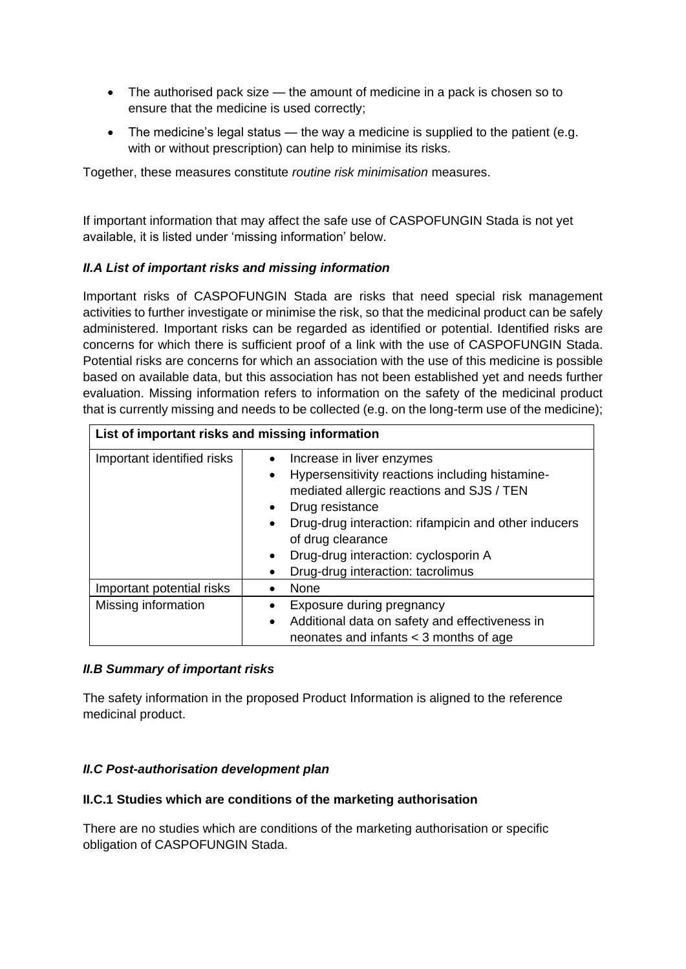- The authorised pack size the amount of medicine in a pack is chosen so to ensure that the medicine is used correctly;
- The medicine's legal status  $-$  the way a medicine is supplied to the patient (e.g. with or without prescription) can help to minimise its risks.

Together, these measures constitute *routine risk minimisation* measures.

If important information that may affect the safe use of CASPOFUNGIN Stada is not yet available, it is listed under 'missing information' below.

#### *II.A List of important risks and missing information*

Important risks of CASPOFUNGIN Stada are risks that need special risk management activities to further investigate or minimise the risk, so that the medicinal product can be safely administered. Important risks can be regarded as identified or potential. Identified risks are concerns for which there is sufficient proof of a link with the use of CASPOFUNGIN Stada. Potential risks are concerns for which an association with the use of this medicine is possible based on available data, but this association has not been established yet and needs further evaluation. Missing information refers to information on the safety of the medicinal product that is currently missing and needs to be collected (e.g. on the long-term use of the medicine);

| List of important risks and missing information |                                                                                                                                                                                                                                                                                                                     |
|-------------------------------------------------|---------------------------------------------------------------------------------------------------------------------------------------------------------------------------------------------------------------------------------------------------------------------------------------------------------------------|
| Important identified risks                      | Increase in liver enzymes<br>Hypersensitivity reactions including histamine-<br>$\bullet$<br>mediated allergic reactions and SJS / TEN<br>Drug resistance<br>Drug-drug interaction: rifampicin and other inducers<br>of drug clearance<br>Drug-drug interaction: cyclosporin A<br>Drug-drug interaction: tacrolimus |
| Important potential risks                       | None                                                                                                                                                                                                                                                                                                                |
| Missing information                             | Exposure during pregnancy<br>Additional data on safety and effectiveness in<br>$\bullet$<br>neonates and infants $<$ 3 months of age                                                                                                                                                                                |

#### *II.B Summary of important risks*

The safety information in the proposed Product Information is aligned to the reference medicinal product.

#### *II.C Post-authorisation development plan*

#### **II.C.1 Studies which are conditions of the marketing authorisation**

There are no studies which are conditions of the marketing authorisation or specific obligation of CASPOFUNGIN Stada.